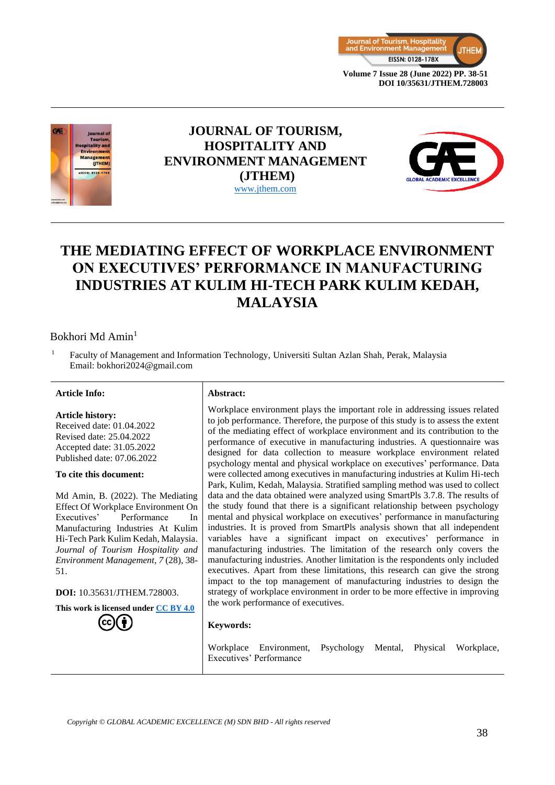



### **JOURNAL OF TOURISM, HOSPITALITY AND ENVIRONMENT MANAGEMENT (JTHEM)** [www.jthem.com](http://www.jthem.com/)



## **THE MEDIATING EFFECT OF WORKPLACE ENVIRONMENT ON EXECUTIVES' PERFORMANCE IN MANUFACTURING INDUSTRIES AT KULIM HI-TECH PARK KULIM KEDAH, MALAYSIA**

#### Bokhori Md Amin<sup>1</sup>

<sup>1</sup> Faculty of Management and Information Technology, Universiti Sultan Azlan Shah, Perak, Malaysia Email: bokhori2024@gmail.com

#### **Article Info: Abstract:**

#### **Article history:**

Received date: 01.04.2022 Revised date: 25.04.2022 Accepted date: 31.05.2022 Published date: 07.06.2022

#### **To cite this document:**

Md Amin, B. (2022). The Mediating Effect Of Workplace Environment On Executives' Performance In Manufacturing Industries At Kulim Hi-Tech Park Kulim Kedah, Malaysia. *Journal of Tourism Hospitality and Environment Management, 7* (28), 38- 51.

**DOI:** 10.35631/JTHEM.728003.

**This work is licensed under [CC BY 4.0](https://creativecommons.org/licenses/by/4.0/?ref=chooser-v1)**



Workplace environment plays the important role in addressing issues related to job performance. Therefore, the purpose of this study is to assess the extent of the mediating effect of workplace environment and its contribution to the performance of executive in manufacturing industries. A questionnaire was designed for data collection to measure workplace environment related psychology mental and physical workplace on executives' performance. Data were collected among executives in manufacturing industries at Kulim Hi-tech Park, Kulim, Kedah, Malaysia. Stratified sampling method was used to collect data and the data obtained were analyzed using SmartPls 3.7.8. The results of the study found that there is a significant relationship between psychology mental and physical workplace on executives' performance in manufacturing industries. It is proved from SmartPls analysis shown that all independent variables have a significant impact on executives' performance in manufacturing industries. The limitation of the research only covers the manufacturing industries. Another limitation is the respondents only included executives. Apart from these limitations, this research can give the strong impact to the top management of manufacturing industries to design the strategy of workplace environment in order to be more effective in improving the work performance of executives.

#### **Keywords:**

Workplace Environment, Psychology Mental, Physical Workplace, Executives' Performance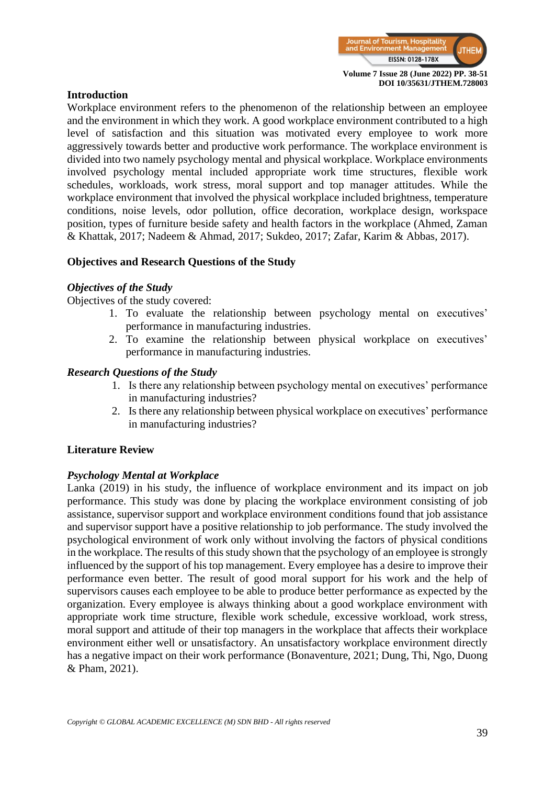

#### **Introduction**

Workplace environment refers to the phenomenon of the relationship between an employee and the environment in which they work. A good workplace environment contributed to a high level of satisfaction and this situation was motivated every employee to work more aggressively towards better and productive work performance. The workplace environment is divided into two namely psychology mental and physical workplace. Workplace environments involved psychology mental included appropriate work time structures, flexible work schedules, workloads, work stress, moral support and top manager attitudes. While the workplace environment that involved the physical workplace included brightness, temperature conditions, noise levels, odor pollution, office decoration, workplace design, workspace position, types of furniture beside safety and health factors in the workplace (Ahmed, Zaman & Khattak, 2017; Nadeem & Ahmad, 2017; Sukdeo, 2017; Zafar, Karim & Abbas, 2017).

#### **Objectives and Research Questions of the Study**

#### *Objectives of the Study*

Objectives of the study covered:

- 1. To evaluate the relationship between psychology mental on executives' performance in manufacturing industries.
- 2. To examine the relationship between physical workplace on executives' performance in manufacturing industries.

#### *Research Questions of the Study*

- 1. Is there any relationship between psychology mental on executives' performance in manufacturing industries?
- 2. Is there any relationship between physical workplace on executives' performance in manufacturing industries?

#### **Literature Review**

#### *Psychology Mental at Workplace*

Lanka (2019) in his study, the influence of workplace environment and its impact on job performance. This study was done by placing the workplace environment consisting of job assistance, supervisor support and workplace environment conditions found that job assistance and supervisor support have a positive relationship to job performance. The study involved the psychological environment of work only without involving the factors of physical conditions in the workplace. The results of this study shown that the psychology of an employee is strongly influenced by the support of his top management. Every employee has a desire to improve their performance even better. The result of good moral support for his work and the help of supervisors causes each employee to be able to produce better performance as expected by the organization. Every employee is always thinking about a good workplace environment with appropriate work time structure, flexible work schedule, excessive workload, work stress, moral support and attitude of their top managers in the workplace that affects their workplace environment either well or unsatisfactory. An unsatisfactory workplace environment directly has a negative impact on their work performance (Bonaventure, 2021; Dung, Thi, Ngo, Duong & Pham, 2021).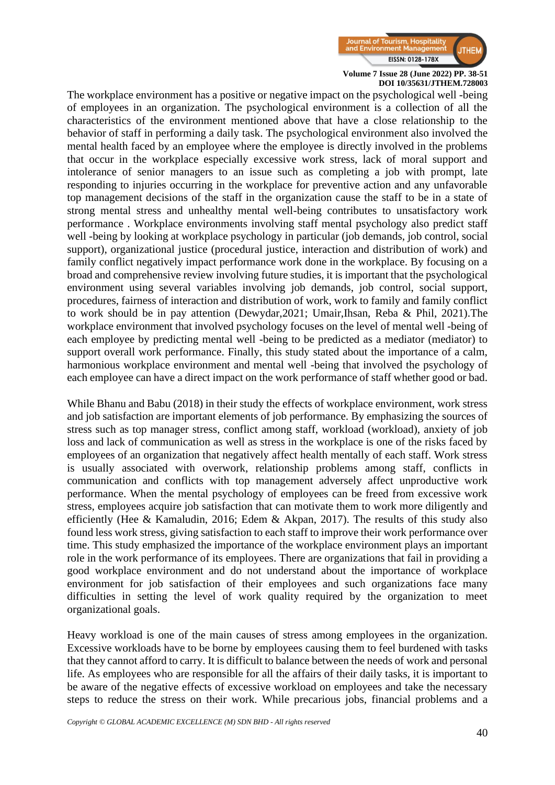

The workplace environment has a positive or negative impact on the psychological well -being of employees in an organization. The psychological environment is a collection of all the characteristics of the environment mentioned above that have a close relationship to the behavior of staff in performing a daily task. The psychological environment also involved the mental health faced by an employee where the employee is directly involved in the problems that occur in the workplace especially excessive work stress, lack of moral support and intolerance of senior managers to an issue such as completing a job with prompt, late responding to injuries occurring in the workplace for preventive action and any unfavorable top management decisions of the staff in the organization cause the staff to be in a state of strong mental stress and unhealthy mental well-being contributes to unsatisfactory work performance . Workplace environments involving staff mental psychology also predict staff well -being by looking at workplace psychology in particular (job demands, job control, social support), organizational justice (procedural justice, interaction and distribution of work) and family conflict negatively impact performance work done in the workplace. By focusing on a broad and comprehensive review involving future studies, it is important that the psychological environment using several variables involving job demands, job control, social support, procedures, fairness of interaction and distribution of work, work to family and family conflict to work should be in pay attention (Dewydar,2021; Umair,Ihsan, Reba & Phil, 2021).The workplace environment that involved psychology focuses on the level of mental well -being of each employee by predicting mental well -being to be predicted as a mediator (mediator) to support overall work performance. Finally, this study stated about the importance of a calm, harmonious workplace environment and mental well -being that involved the psychology of each employee can have a direct impact on the work performance of staff whether good or bad.

While Bhanu and Babu (2018) in their study the effects of workplace environment, work stress and job satisfaction are important elements of job performance. By emphasizing the sources of stress such as top manager stress, conflict among staff, workload (workload), anxiety of job loss and lack of communication as well as stress in the workplace is one of the risks faced by employees of an organization that negatively affect health mentally of each staff. Work stress is usually associated with overwork, relationship problems among staff, conflicts in communication and conflicts with top management adversely affect unproductive work performance. When the mental psychology of employees can be freed from excessive work stress, employees acquire job satisfaction that can motivate them to work more diligently and efficiently (Hee & Kamaludin, 2016; Edem & Akpan, 2017). The results of this study also found less work stress, giving satisfaction to each staff to improve their work performance over time. This study emphasized the importance of the workplace environment plays an important role in the work performance of its employees. There are organizations that fail in providing a good workplace environment and do not understand about the importance of workplace environment for job satisfaction of their employees and such organizations face many difficulties in setting the level of work quality required by the organization to meet organizational goals.

Heavy workload is one of the main causes of stress among employees in the organization. Excessive workloads have to be borne by employees causing them to feel burdened with tasks that they cannot afford to carry. It is difficult to balance between the needs of work and personal life. As employees who are responsible for all the affairs of their daily tasks, it is important to be aware of the negative effects of excessive workload on employees and take the necessary steps to reduce the stress on their work. While precarious jobs, financial problems and a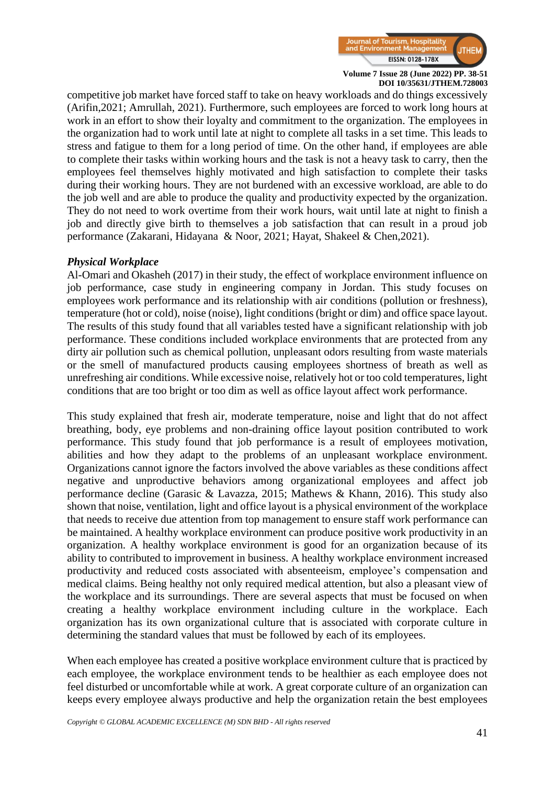

competitive job market have forced staff to take on heavy workloads and do things excessively (Arifin,2021; Amrullah, 2021). Furthermore, such employees are forced to work long hours at work in an effort to show their loyalty and commitment to the organization. The employees in the organization had to work until late at night to complete all tasks in a set time. This leads to stress and fatigue to them for a long period of time. On the other hand, if employees are able to complete their tasks within working hours and the task is not a heavy task to carry, then the employees feel themselves highly motivated and high satisfaction to complete their tasks during their working hours. They are not burdened with an excessive workload, are able to do the job well and are able to produce the quality and productivity expected by the organization. They do not need to work overtime from their work hours, wait until late at night to finish a job and directly give birth to themselves a job satisfaction that can result in a proud job performance (Zakarani, Hidayana & Noor, 2021; Hayat, Shakeel & Chen,2021).

#### *Physical Workplace*

Al-Omari and Okasheh (2017) in their study, the effect of workplace environment influence on job performance, case study in engineering company in Jordan. This study focuses on employees work performance and its relationship with air conditions (pollution or freshness), temperature (hot or cold), noise (noise), light conditions (bright or dim) and office space layout. The results of this study found that all variables tested have a significant relationship with job performance. These conditions included workplace environments that are protected from any dirty air pollution such as chemical pollution, unpleasant odors resulting from waste materials or the smell of manufactured products causing employees shortness of breath as well as unrefreshing air conditions. While excessive noise, relatively hot or too cold temperatures, light conditions that are too bright or too dim as well as office layout affect work performance.

This study explained that fresh air, moderate temperature, noise and light that do not affect breathing, body, eye problems and non-draining office layout position contributed to work performance. This study found that job performance is a result of employees motivation, abilities and how they adapt to the problems of an unpleasant workplace environment. Organizations cannot ignore the factors involved the above variables as these conditions affect negative and unproductive behaviors among organizational employees and affect job performance decline (Garasic & Lavazza, 2015; Mathews & Khann, 2016). This study also shown that noise, ventilation, light and office layout is a physical environment of the workplace that needs to receive due attention from top management to ensure staff work performance can be maintained. A healthy workplace environment can produce positive work productivity in an organization. A healthy workplace environment is good for an organization because of its ability to contributed to improvement in business. A healthy workplace environment increased productivity and reduced costs associated with absenteeism, employee's compensation and medical claims. Being healthy not only required medical attention, but also a pleasant view of the workplace and its surroundings. There are several aspects that must be focused on when creating a healthy workplace environment including culture in the workplace. Each organization has its own organizational culture that is associated with corporate culture in determining the standard values that must be followed by each of its employees.

When each employee has created a positive workplace environment culture that is practiced by each employee, the workplace environment tends to be healthier as each employee does not feel disturbed or uncomfortable while at work. A great corporate culture of an organization can keeps every employee always productive and help the organization retain the best employees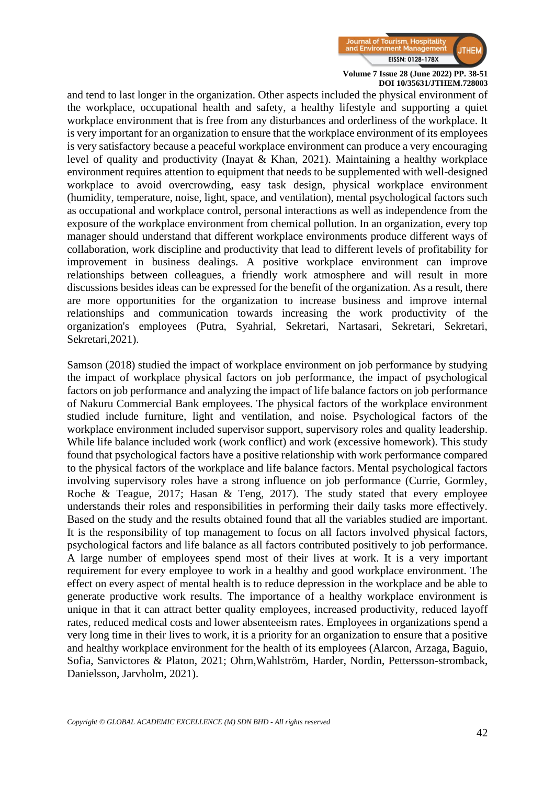

and tend to last longer in the organization. Other aspects included the physical environment of the workplace, occupational health and safety, a healthy lifestyle and supporting a quiet workplace environment that is free from any disturbances and orderliness of the workplace. It is very important for an organization to ensure that the workplace environment of its employees is very satisfactory because a peaceful workplace environment can produce a very encouraging level of quality and productivity (Inayat & Khan, 2021). Maintaining a healthy workplace environment requires attention to equipment that needs to be supplemented with well-designed workplace to avoid overcrowding, easy task design, physical workplace environment (humidity, temperature, noise, light, space, and ventilation), mental psychological factors such as occupational and workplace control, personal interactions as well as independence from the exposure of the workplace environment from chemical pollution. In an organization, every top manager should understand that different workplace environments produce different ways of collaboration, work discipline and productivity that lead to different levels of profitability for improvement in business dealings. A positive workplace environment can improve relationships between colleagues, a friendly work atmosphere and will result in more discussions besides ideas can be expressed for the benefit of the organization. As a result, there are more opportunities for the organization to increase business and improve internal relationships and communication towards increasing the work productivity of the organization's employees (Putra, Syahrial, Sekretari, Nartasari, Sekretari, Sekretari, Sekretari,2021).

Samson (2018) studied the impact of workplace environment on job performance by studying the impact of workplace physical factors on job performance, the impact of psychological factors on job performance and analyzing the impact of life balance factors on job performance of Nakuru Commercial Bank employees. The physical factors of the workplace environment studied include furniture, light and ventilation, and noise. Psychological factors of the workplace environment included supervisor support, supervisory roles and quality leadership. While life balance included work (work conflict) and work (excessive homework). This study found that psychological factors have a positive relationship with work performance compared to the physical factors of the workplace and life balance factors. Mental psychological factors involving supervisory roles have a strong influence on job performance (Currie, Gormley, Roche & Teague, 2017; Hasan & Teng, 2017). The study stated that every employee understands their roles and responsibilities in performing their daily tasks more effectively. Based on the study and the results obtained found that all the variables studied are important. It is the responsibility of top management to focus on all factors involved physical factors, psychological factors and life balance as all factors contributed positively to job performance. A large number of employees spend most of their lives at work. It is a very important requirement for every employee to work in a healthy and good workplace environment. The effect on every aspect of mental health is to reduce depression in the workplace and be able to generate productive work results. The importance of a healthy workplace environment is unique in that it can attract better quality employees, increased productivity, reduced layoff rates, reduced medical costs and lower absenteeism rates. Employees in organizations spend a very long time in their lives to work, it is a priority for an organization to ensure that a positive and healthy workplace environment for the health of its employees (Alarcon, Arzaga, Baguio, Sofia, Sanvictores & Platon, 2021; Ohrn,Wahlström, Harder, Nordin, Pettersson-stromback, Danielsson, Jarvholm, 2021).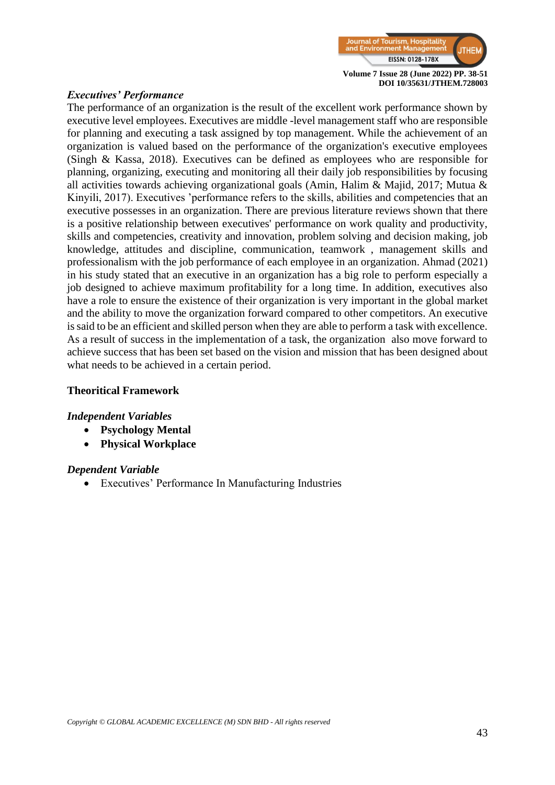

#### *Executives' Performance*

The performance of an organization is the result of the excellent work performance shown by executive level employees. Executives are middle -level management staff who are responsible for planning and executing a task assigned by top management. While the achievement of an organization is valued based on the performance of the organization's executive employees (Singh & Kassa, 2018). Executives can be defined as employees who are responsible for planning, organizing, executing and monitoring all their daily job responsibilities by focusing all activities towards achieving organizational goals (Amin, Halim & Majid, 2017; Mutua & Kinyili, 2017). Executives 'performance refers to the skills, abilities and competencies that an executive possesses in an organization. There are previous literature reviews shown that there is a positive relationship between executives' performance on work quality and productivity, skills and competencies, creativity and innovation, problem solving and decision making, job knowledge, attitudes and discipline, communication, teamwork , management skills and professionalism with the job performance of each employee in an organization. Ahmad (2021) in his study stated that an executive in an organization has a big role to perform especially a job designed to achieve maximum profitability for a long time. In addition, executives also have a role to ensure the existence of their organization is very important in the global market and the ability to move the organization forward compared to other competitors. An executive is said to be an efficient and skilled person when they are able to perform a task with excellence. As a result of success in the implementation of a task, the organization also move forward to achieve success that has been set based on the vision and mission that has been designed about what needs to be achieved in a certain period.

#### **Theoritical Framework**

#### *Independent Variables*

- **Psychology Mental**
- **Physical Workplace**

#### *Dependent Variable*

• Executives' Performance In Manufacturing Industries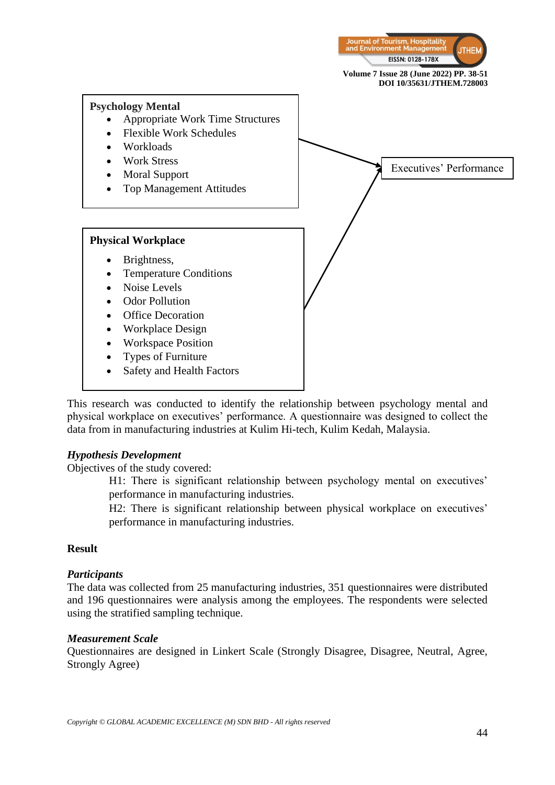

This research was conducted to identify the relationship between psychology mental and physical workplace on executives' performance. A questionnaire was designed to collect the data from in manufacturing industries at Kulim Hi-tech, Kulim Kedah, Malaysia.

#### *Hypothesis Development*

Objectives of the study covered:

H1: There is significant relationship between psychology mental on executives' performance in manufacturing industries.

H2: There is significant relationship between physical workplace on executives' performance in manufacturing industries.

#### **Result**

#### *Participants*

The data was collected from 25 manufacturing industries, 351 questionnaires were distributed and 196 questionnaires were analysis among the employees. The respondents were selected using the stratified sampling technique.

#### *Measurement Scale*

Questionnaires are designed in Linkert Scale (Strongly Disagree, Disagree, Neutral, Agree, Strongly Agree)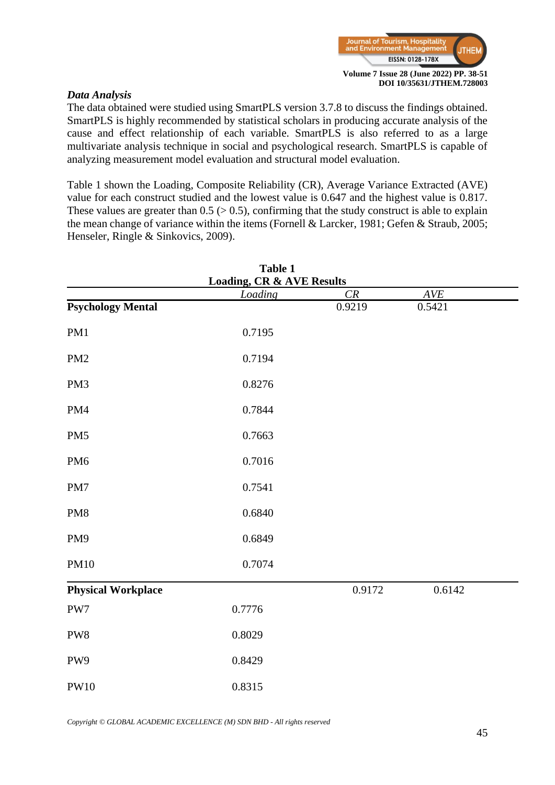

#### *Data Analysis*

The data obtained were studied using SmartPLS version 3.7.8 to discuss the findings obtained. SmartPLS is highly recommended by statistical scholars in producing accurate analysis of the cause and effect relationship of each variable. SmartPLS is also referred to as a large multivariate analysis technique in social and psychological research. SmartPLS is capable of analyzing measurement model evaluation and structural model evaluation.

Table 1 shown the Loading, Composite Reliability (CR), Average Variance Extracted (AVE) value for each construct studied and the lowest value is 0.647 and the highest value is 0.817. These values are greater than  $0.5$  ( $> 0.5$ ), confirming that the study construct is able to explain the mean change of variance within the items (Fornell & Larcker, 1981; Gefen & Straub, 2005; Henseler, Ringle & Sinkovics, 2009).

|                           | Table 1                                         |        |        |  |
|---------------------------|-------------------------------------------------|--------|--------|--|
|                           | <b>Loading, CR &amp; AVE Results</b><br>Loading | CR     | AVE    |  |
| <b>Psychology Mental</b>  |                                                 | 0.9219 | 0.5421 |  |
| PM1                       | 0.7195                                          |        |        |  |
| PM <sub>2</sub>           | 0.7194                                          |        |        |  |
| PM3                       | 0.8276                                          |        |        |  |
| PM4                       | 0.7844                                          |        |        |  |
| PM <sub>5</sub>           | 0.7663                                          |        |        |  |
| PM <sub>6</sub>           | 0.7016                                          |        |        |  |
| PM7                       | 0.7541                                          |        |        |  |
| PM8                       | 0.6840                                          |        |        |  |
| PM9                       | 0.6849                                          |        |        |  |
| <b>PM10</b>               | 0.7074                                          |        |        |  |
| <b>Physical Workplace</b> |                                                 | 0.9172 | 0.6142 |  |
| PW7                       | 0.7776                                          |        |        |  |
| PW8                       | 0.8029                                          |        |        |  |
| PW9                       | 0.8429                                          |        |        |  |
| <b>PW10</b>               | 0.8315                                          |        |        |  |

*Copyright © GLOBAL ACADEMIC EXCELLENCE (M) SDN BHD - All rights reserved*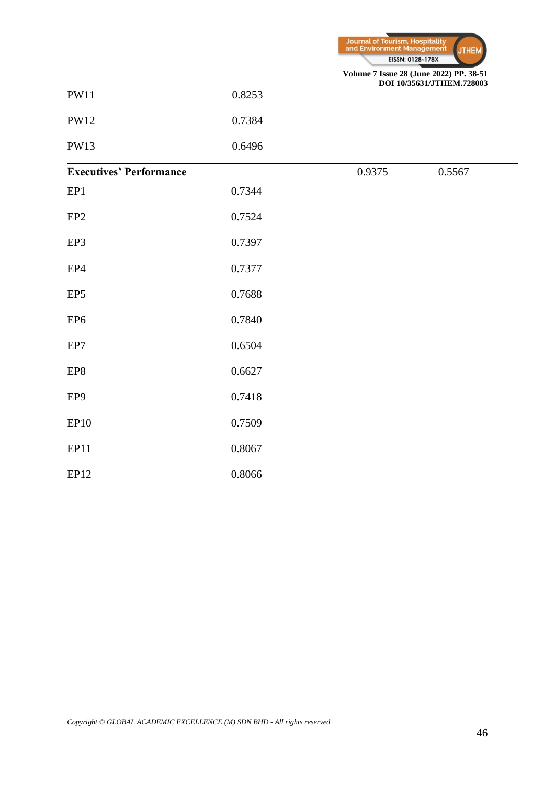

| PW11 | 0.8253 |
|------|--------|
|      |        |

PW12 0.7384

PW13 0.6496

#### l, **Executives' Performance** 0.9375 0.5567

| EP1             | 0.7344 |
|-----------------|--------|
| EP <sub>2</sub> | 0.7524 |
| EP3             | 0.7397 |
|                 |        |

EP4 0.7377

EP5 0.7688

EP6 0.7840

EP7 0.6504

EP8 0.6627

EP9 0.7418

EP10 0.7509

EP11 0.8067

EP12 0.8066

*Copyright © GLOBAL ACADEMIC EXCELLENCE (M) SDN BHD - All rights reserved*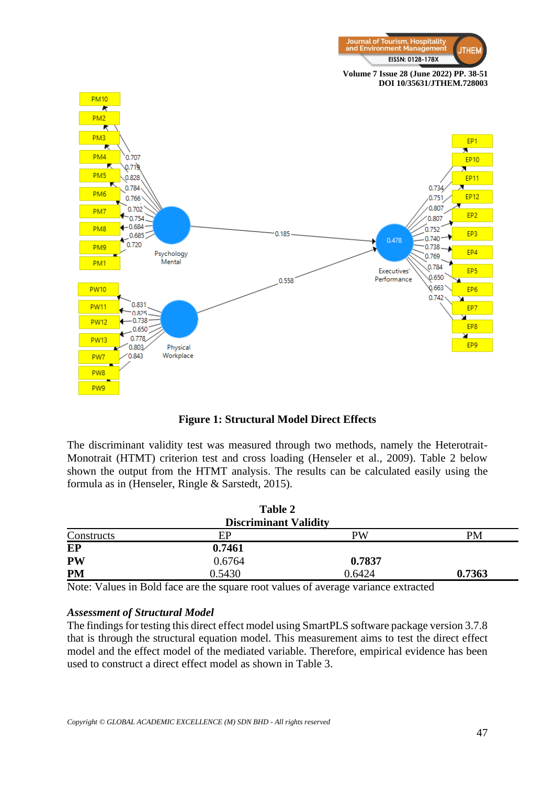



**Figure 1: Structural Model Direct Effects**

The discriminant validity test was measured through two methods, namely the Heterotrait-Monotrait (HTMT) criterion test and cross loading (Henseler et al., 2009). Table 2 below shown the output from the HTMT analysis. The results can be calculated easily using the formula as in (Henseler, Ringle & Sarstedt, 2015).

|                              | Table 2 |        |        |  |
|------------------------------|---------|--------|--------|--|
| <b>Discriminant Validity</b> |         |        |        |  |
| Constructs                   | EP      | PW     | PM     |  |
| EP                           | 0.7461  |        |        |  |
| <b>PW</b>                    | 0.6764  | 0.7837 |        |  |
| <b>PM</b>                    | 0.5430  | 0.6424 | 0.7363 |  |

Note: Values in Bold face are the square root values of average variance extracted

#### *Assessment of Structural Model*

The findings for testing this direct effect model using SmartPLS software package version 3.7.8 that is through the structural equation model. This measurement aims to test the direct effect model and the effect model of the mediated variable. Therefore, empirical evidence has been used to construct a direct effect model as shown in Table 3.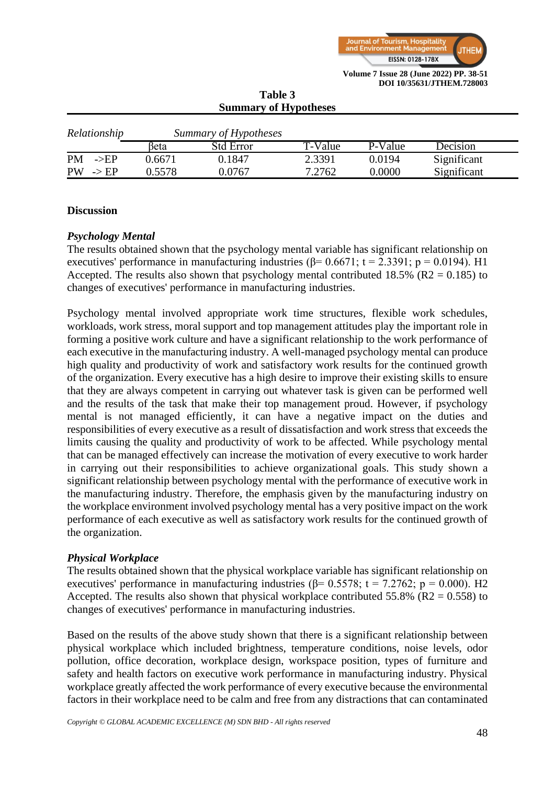

| <b>Summary of Hypotheses</b>  |        |                       |         |         |             |
|-------------------------------|--------|-----------------------|---------|---------|-------------|
| Relationship                  |        | Summary of Hypotheses |         |         |             |
|                               | βeta   | <b>Std Error</b>      | T-Value | P-Value | Decision    |
| <b>PM</b><br>$\rightarrow$ EP | 0.6671 | 0.1847                | 2.3391  | 0.0194  | Significant |
| <b>PW</b><br>$\rightarrow$ EP | 0.5578 | 0.0767                | 7.2762  | 0.0000  | Significant |

# **Table 3**

#### **Discussion**

#### *Psychology Mental*

The results obtained shown that the psychology mental variable has significant relationship on executives' performance in manufacturing industries ( $\beta$ = 0.6671; t = 2.3391; p = 0.0194). H1 Accepted. The results also shown that psychology mental contributed  $18.5\%$  (R2 = 0.185) to changes of executives' performance in manufacturing industries.

Psychology mental involved appropriate work time structures, flexible work schedules, workloads, work stress, moral support and top management attitudes play the important role in forming a positive work culture and have a significant relationship to the work performance of each executive in the manufacturing industry. A well-managed psychology mental can produce high quality and productivity of work and satisfactory work results for the continued growth of the organization. Every executive has a high desire to improve their existing skills to ensure that they are always competent in carrying out whatever task is given can be performed well and the results of the task that make their top management proud. However, if psychology mental is not managed efficiently, it can have a negative impact on the duties and responsibilities of every executive as a result of dissatisfaction and work stress that exceeds the limits causing the quality and productivity of work to be affected. While psychology mental that can be managed effectively can increase the motivation of every executive to work harder in carrying out their responsibilities to achieve organizational goals. This study shown a significant relationship between psychology mental with the performance of executive work in the manufacturing industry. Therefore, the emphasis given by the manufacturing industry on the workplace environment involved psychology mental has a very positive impact on the work performance of each executive as well as satisfactory work results for the continued growth of the organization.

#### *Physical Workplace*

The results obtained shown that the physical workplace variable has significant relationship on executives' performance in manufacturing industries ( $\beta$ = 0.5578; t = 7.2762; p = 0.000). H2 Accepted. The results also shown that physical workplace contributed 55.8% ( $R2 = 0.558$ ) to changes of executives' performance in manufacturing industries.

Based on the results of the above study shown that there is a significant relationship between physical workplace which included brightness, temperature conditions, noise levels, odor pollution, office decoration, workplace design, workspace position, types of furniture and safety and health factors on executive work performance in manufacturing industry. Physical workplace greatly affected the work performance of every executive because the environmental factors in their workplace need to be calm and free from any distractions that can contaminated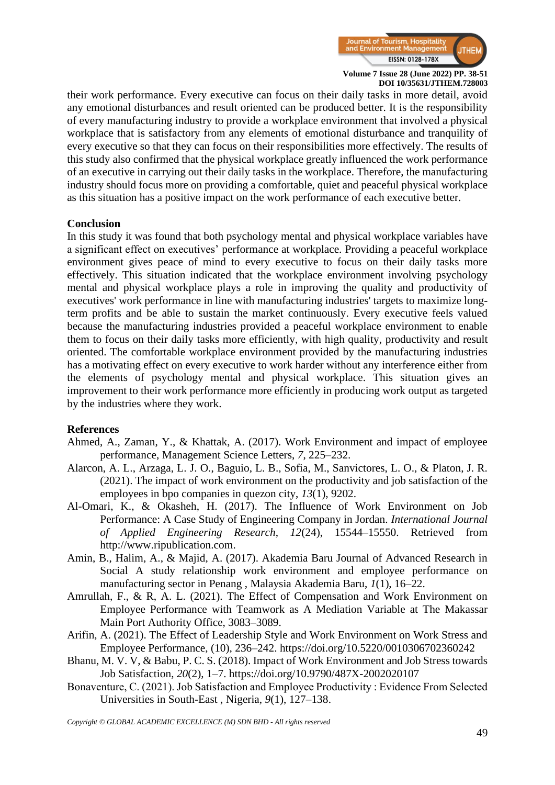

their work performance. Every executive can focus on their daily tasks in more detail, avoid any emotional disturbances and result oriented can be produced better. It is the responsibility of every manufacturing industry to provide a workplace environment that involved a physical workplace that is satisfactory from any elements of emotional disturbance and tranquility of every executive so that they can focus on their responsibilities more effectively. The results of this study also confirmed that the physical workplace greatly influenced the work performance of an executive in carrying out their daily tasks in the workplace. Therefore, the manufacturing industry should focus more on providing a comfortable, quiet and peaceful physical workplace as this situation has a positive impact on the work performance of each executive better.

#### **Conclusion**

In this study it was found that both psychology mental and physical workplace variables have a significant effect on executives' performance at workplace. Providing a peaceful workplace environment gives peace of mind to every executive to focus on their daily tasks more effectively. This situation indicated that the workplace environment involving psychology mental and physical workplace plays a role in improving the quality and productivity of executives' work performance in line with manufacturing industries' targets to maximize longterm profits and be able to sustain the market continuously. Every executive feels valued because the manufacturing industries provided a peaceful workplace environment to enable them to focus on their daily tasks more efficiently, with high quality, productivity and result oriented. The comfortable workplace environment provided by the manufacturing industries has a motivating effect on every executive to work harder without any interference either from the elements of psychology mental and physical workplace. This situation gives an improvement to their work performance more efficiently in producing work output as targeted by the industries where they work.

#### **References**

- Ahmed, A., Zaman, Y., & Khattak, A. (2017). Work Environment and impact of employee performance, Management Science Letters, *7*, 225–232.
- Alarcon, A. L., Arzaga, L. J. O., Baguio, L. B., Sofia, M., Sanvictores, L. O., & Platon, J. R. (2021). The impact of work environment on the productivity and job satisfaction of the employees in bpo companies in quezon city, *13*(1), 9202.
- Al-Omari, K., & Okasheh, H. (2017). The Influence of Work Environment on Job Performance: A Case Study of Engineering Company in Jordan. *International Journal of Applied Engineering Research*, *12*(24), 15544–15550. Retrieved from [http://www.ripublication.com.](http://www.ripublication.com/)
- Amin, B., Halim, A., & Majid, A. (2017). Akademia Baru Journal of Advanced Research in Social A study relationship work environment and employee performance on manufacturing sector in Penang , Malaysia Akademia Baru, *1*(1), 16–22.
- Amrullah, F., & R, A. L. (2021). The Effect of Compensation and Work Environment on Employee Performance with Teamwork as A Mediation Variable at The Makassar Main Port Authority Office, 3083–3089.
- Arifin, A. (2021). The Effect of Leadership Style and Work Environment on Work Stress and Employee Performance, (10), 236–242. https://doi.org/10.5220/0010306702360242
- Bhanu, M. V. V, & Babu, P. C. S. (2018). Impact of Work Environment and Job Stress towards Job Satisfaction, *20*(2), 1–7. https://doi.org/10.9790/487X-2002020107
- Bonaventure, C. (2021). Job Satisfaction and Employee Productivity : Evidence From Selected Universities in South-East , Nigeria, *9*(1), 127–138.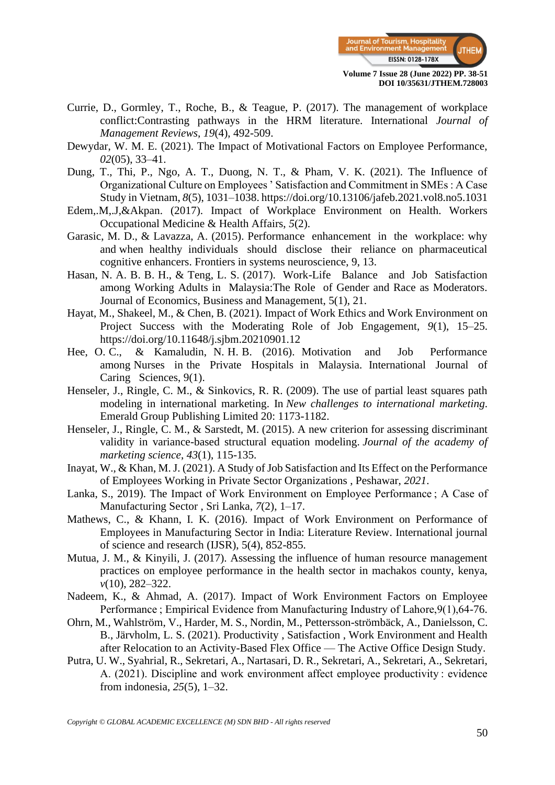

- Currie, D., Gormley, T., Roche, B., & Teague, P. (2017). The management of workplace conflict:Contrasting pathways in the HRM literature. International *Journal of Management Reviews, 19*(4), 492-509.
- Dewydar, W. M. E. (2021). The Impact of Motivational Factors on Employee Performance, *02*(05), 33–41.
- Dung, T., Thi, P., Ngo, A. T., Duong, N. T., & Pham, V. K. (2021). The Influence of Organizational Culture on Employees ' Satisfaction and Commitment in SMEs : A Case Study in Vietnam, *8*(5), 1031–1038. https://doi.org/10.13106/jafeb.2021.vol8.no5.1031
- Edem,.M,.J,&Akpan. (2017). Impact of Workplace Environment on Health. Workers Occupational Medicine & Health Affairs, *5*(2).
- Garasic, M. D., & Lavazza, A. (2015). Performance enhancement in the workplace: why and when healthy individuals should disclose their reliance on pharmaceutical cognitive enhancers. Frontiers in systems neuroscience, 9, 13.
- Hasan, N. A. B. B. H., & Teng, L. S. (2017). Work-Life Balance and Job Satisfaction among Working Adults in Malaysia:The Role of Gender and Race as Moderators. Journal of Economics, Business and Management, 5(1), 21.
- Hayat, M., Shakeel, M., & Chen, B. (2021). Impact of Work Ethics and Work Environment on Project Success with the Moderating Role of Job Engagement, *9*(1), 15–25. https://doi.org/10.11648/j.sjbm.20210901.12
- Hee, O. C., & Kamaludin, N. H. B. (2016). Motivation and Job Performance among Nurses in the Private Hospitals in Malaysia. International Journal of Caring Sciences, 9(1).
- Henseler, J., Ringle, C. M., & Sinkovics, R. R. (2009). The use of partial least squares path modeling in international marketing. In *New challenges to international marketing*. Emerald Group Publishing Limited 20: 1173-1182.
- Henseler, J., Ringle, C. M., & Sarstedt, M. (2015). A new criterion for assessing discriminant validity in variance-based structural equation modeling. *Journal of the academy of marketing science*, *43*(1), 115-135.
- Inayat, W., & Khan, M. J. (2021). A Study of Job Satisfaction and Its Effect on the Performance of Employees Working in Private Sector Organizations , Peshawar, *2021*.
- Lanka, S., 2019). The Impact of Work Environment on Employee Performance ; A Case of Manufacturing Sector , Sri Lanka, *7*(2), 1–17.
- Mathews, C., & Khann, I. K. (2016). Impact of Work Environment on Performance of Employees in Manufacturing Sector in India: Literature Review. International journal of science and research (IJSR), 5(4), 852-855.
- Mutua, J. M., & Kinyili, J. (2017). Assessing the influence of human resource management practices on employee performance in the health sector in machakos county, kenya, *v*(10), 282–322.
- Nadeem, K., & Ahmad, A. (2017). Impact of Work Environment Factors on Employee Performance ; Empirical Evidence from Manufacturing Industry of Lahore,9(1),64-76.
- Ohrn, M., Wahlström, V., Harder, M. S., Nordin, M., Pettersson-strömbäck, A., Danielsson, C. B., Järvholm, L. S. (2021). Productivity , Satisfaction , Work Environment and Health after Relocation to an Activity-Based Flex Office — The Active Office Design Study.
- Putra, U. W., Syahrial, R., Sekretari, A., Nartasari, D. R., Sekretari, A., Sekretari, A., Sekretari, A. (2021). Discipline and work environment affect employee productivity : evidence from indonesia, *25*(5), 1–32.